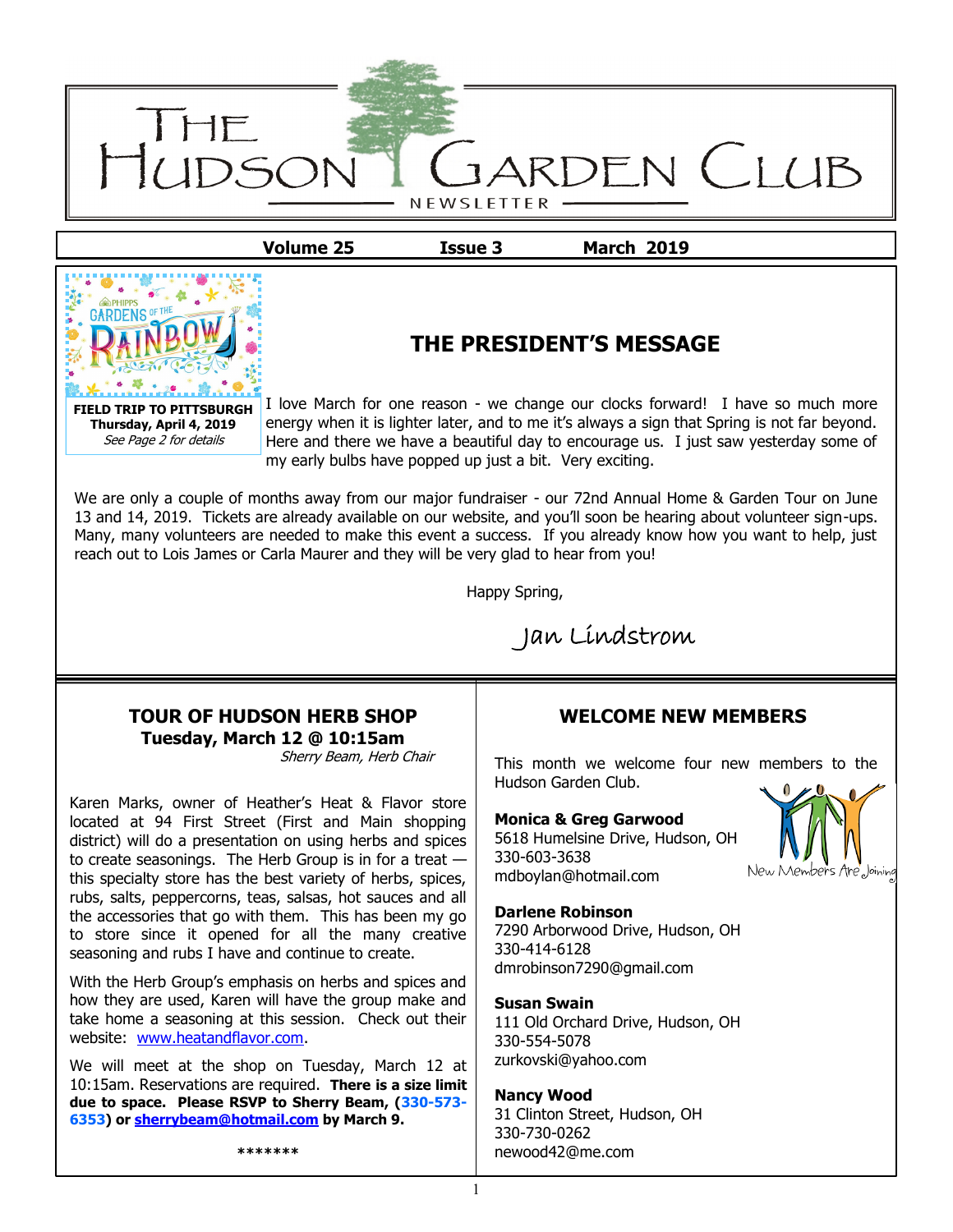

**Volume 25 Issue 3 March 2019**



# **THE PRESIDENT'S MESSAGE**

I love March for one reason - we change our clocks forward! I have so much more energy when it is lighter later, and to me it's always a sign that Spring is not far beyond. Here and there we have a beautiful day to encourage us. I just saw yesterday some of my early bulbs have popped up just a bit. Very exciting.

We are only a couple of months away from our major fundraiser - our 72nd Annual Home & Garden Tour on June 13 and 14, 2019. Tickets are already available on our website, and you'll soon be hearing about volunteer sign-ups. Many, many volunteers are needed to make this event a success. If you already know how you want to help, just reach out to Lois James or Carla Maurer and they will be very glad to hear from you!

Happy Spring,

Jan Lindstrom

### **TOUR OF HUDSON HERB SHOP Tuesday, March 12 @ 10:15am**

Sherry Beam, Herb Chair

Karen Marks, owner of Heather's Heat & Flavor store located at 94 First Street (First and Main shopping district) will do a presentation on using herbs and spices to create seasonings. The Herb Group is in for a treat this specialty store has the best variety of herbs, spices, rubs, salts, peppercorns, teas, salsas, hot sauces and all the accessories that go with them. This has been my go to store since it opened for all the many creative seasoning and rubs I have and continue to create.

With the Herb Group's emphasis on herbs and spices and how they are used, Karen will have the group make and take home a seasoning at this session. Check out their website: [www.heatandflavor.com.](mailto:heatandflavor.com)

We will meet at the shop on Tuesday, March 12 at 10:15am. Reservations are required. **There is a size limit due to space. Please RSVP to Sherry Beam, (330-573- 6353) or [sherrybeam@hotmail.com](mailto:sherrybeam@hotmail.com) by March 9.**

**\*\*\*\*\*\*\***

# **WELCOME NEW MEMBERS**

This month we welcome four new members to the Hudson Garden Club.

#### **Monica & Greg Garwood**

5618 Humelsine Drive, Hudson, OH 330-603-3638 mdboylan@hotmail.com

#### **Darlene Robinson**

7290 Arborwood Drive, Hudson, OH 330-414-6128 dmrobinson7290@gmail.com

#### **Susan Swain**

111 Old Orchard Drive, Hudson, OH 330-554-5078 zurkovski@yahoo.com

#### **Nancy Wood**

31 Clinton Street, Hudson, OH 330-730-0262 newood42@me.com

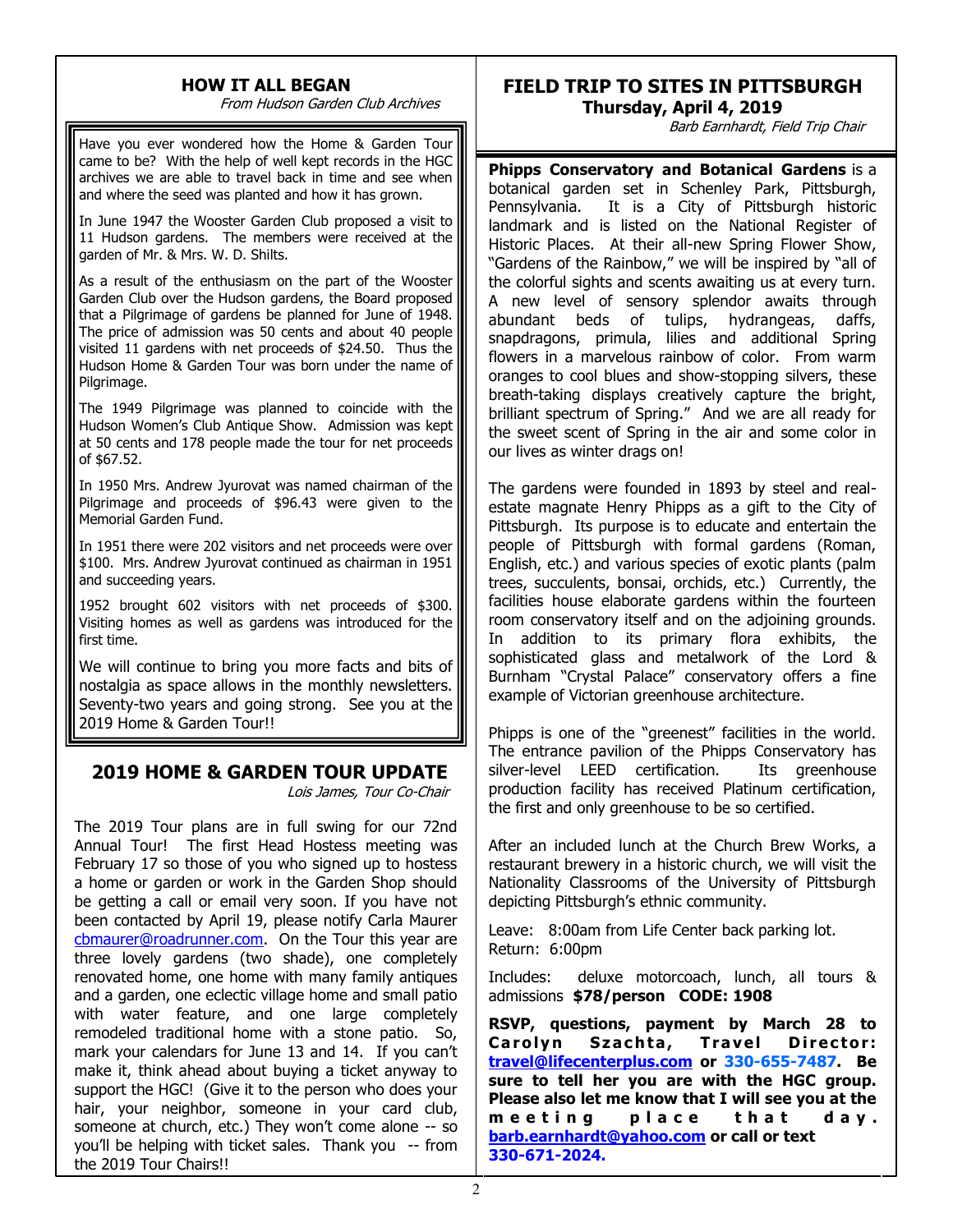# **HOW IT ALL BEGAN**

From Hudson Garden Club Archives

Have you ever wondered how the Home & Garden Tour came to be? With the help of well kept records in the HGC archives we are able to travel back in time and see when and where the seed was planted and how it has grown.

In June 1947 the Wooster Garden Club proposed a visit to 11 Hudson gardens. The members were received at the garden of Mr. & Mrs. W. D. Shilts.

As a result of the enthusiasm on the part of the Wooster Garden Club over the Hudson gardens, the Board proposed that a Pilgrimage of gardens be planned for June of 1948. The price of admission was 50 cents and about 40 people visited 11 gardens with net proceeds of \$24.50. Thus the Hudson Home & Garden Tour was born under the name of Pilgrimage.

The 1949 Pilgrimage was planned to coincide with the Hudson Women's Club Antique Show. Admission was kept at 50 cents and 178 people made the tour for net proceeds of \$67.52.

In 1950 Mrs. Andrew Jyurovat was named chairman of the Pilgrimage and proceeds of \$96.43 were given to the Memorial Garden Fund.

In 1951 there were 202 visitors and net proceeds were over \$100. Mrs. Andrew Jyurovat continued as chairman in 1951 and succeeding years.

1952 brought 602 visitors with net proceeds of \$300. Visiting homes as well as gardens was introduced for the first time.

We will continue to bring you more facts and bits of nostalgia as space allows in the monthly newsletters. Seventy-two years and going strong. See you at the 2019 Home & Garden Tour!!

# **2019 HOME & GARDEN TOUR UPDATE**

Lois James, Tour Co-Chair

The 2019 Tour plans are in full swing for our 72nd Annual Tour! The first Head Hostess meeting was February 17 so those of you who signed up to hostess a home or garden or work in the Garden Shop should be getting a call or email very soon. If you have not been contacted by April 19, please notify Carla Maurer [cbmaurer@roadrunner.com.](mailto:cbmaurer@roadrunner.com) On the Tour this year are three lovely gardens (two shade), one completely renovated home, one home with many family antiques and a garden, one eclectic village home and small patio with water feature, and one large completely remodeled traditional home with a stone patio. So, mark your calendars for June 13 and 14. If you can't make it, think ahead about buying a ticket anyway to support the HGC! (Give it to the person who does your hair, your neighbor, someone in your card club, someone at church, etc.) They won't come alone -- so you'll be helping with ticket sales. Thank you -- from the 2019 Tour Chairs!!

# **FIELD TRIP TO SITES IN PITTSBURGH Thursday, April 4, 2019**

Barb Earnhardt, Field Trip Chair

**Phipps Conservatory and Botanical Gardens** is a botanical garden set in Schenley Park, Pittsburgh, Pennsylvania. It is a City of Pittsburgh historic landmark and is listed on the National Register of Historic Places. At their all-new Spring Flower Show, "Gardens of the Rainbow," we will be inspired by "all of the colorful sights and scents awaiting us at every turn. A new level of sensory splendor awaits through abundant beds of tulips, hydrangeas, daffs, snapdragons, primula, lilies and additional Spring flowers in a marvelous rainbow of color. From warm oranges to cool blues and show-stopping silvers, these breath-taking displays creatively capture the bright, brilliant spectrum of Spring." And we are all ready for the sweet scent of Spring in the air and some color in our lives as winter drags on!

The gardens were founded in 1893 by steel and realestate magnate Henry Phipps as a gift to the City of Pittsburgh. Its purpose is to educate and entertain the people of Pittsburgh with formal gardens (Roman, English, etc.) and various species of exotic plants (palm trees, succulents, bonsai, orchids, etc.) Currently, the facilities house elaborate gardens within the fourteen room conservatory itself and on the adjoining grounds. In addition to its primary flora exhibits, the sophisticated glass and metalwork of the Lord & Burnham "Crystal Palace" conservatory offers a fine example of Victorian greenhouse architecture.

Phipps is one of the "greenest" facilities in the world. The entrance pavilion of the Phipps Conservatory has silver-level LEED certification. Its greenhouse production facility has received Platinum certification, the first and only greenhouse to be so certified.

After an included lunch at the Church Brew Works, a restaurant brewery in a historic church, we will visit the Nationality Classrooms of the University of Pittsburgh depicting Pittsburgh's ethnic community.

Leave: 8:00am from Life Center back parking lot. Return: 6:00pm

Includes: deluxe motorcoach, lunch, all tours & admissions **\$78/person CODE: 1908**

**RSVP, questions, payment by March 28 to Carolyn Szachta, Travel Director: [travel@lifecenterplus.com](mailto:travel@lifecenterplus.com) or 330-655-7487. Be sure to tell her you are with the HGC group. Please also let me know that I will see you at the**  m e e ting place that day. **[barb.earnhardt@yahoo.com](mailto:barb.earnhardt@yahoo.com) or call or text 330-671-2024.**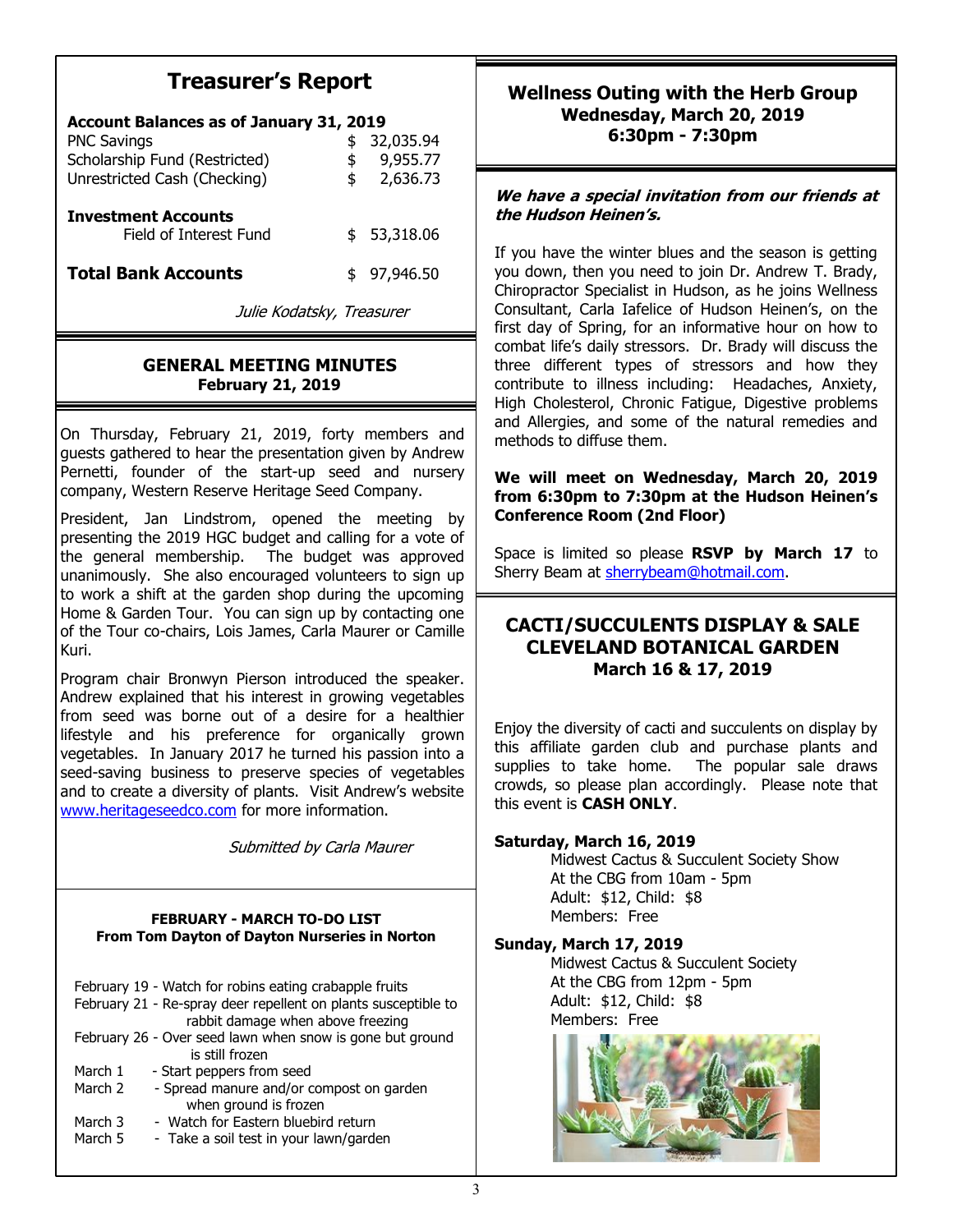# **Treasurer's Report**

| <b>Account Balances as of January 31, 2019</b>       |    |           |
|------------------------------------------------------|----|-----------|
| <b>PNC Savings</b>                                   | \$ | 32,035.94 |
| Scholarship Fund (Restricted)                        |    | 9,955.77  |
| Unrestricted Cash (Checking)                         | \$ | 2,636.73  |
| <b>Investment Accounts</b><br>Field of Interest Fund | \$ | 53,318.06 |
| <b>Total Bank Accounts</b>                           | \$ | 97,946.50 |
| Julie Kodatsky, Treasurer                            |    |           |

## **GENERAL MEETING MINUTES February 21, 2019**

On Thursday, February 21, 2019, forty members and guests gathered to hear the presentation given by Andrew Pernetti, founder of the start-up seed and nursery company, Western Reserve Heritage Seed Company.

President, Jan Lindstrom, opened the meeting by presenting the 2019 HGC budget and calling for a vote of the general membership. The budget was approved unanimously. She also encouraged volunteers to sign up to work a shift at the garden shop during the upcoming Home & Garden Tour. You can sign up by contacting one of the Tour co-chairs, Lois James, Carla Maurer or Camille Kuri.

Program chair Bronwyn Pierson introduced the speaker. Andrew explained that his interest in growing vegetables from seed was borne out of a desire for a healthier lifestyle and his preference for organically grown vegetables. In January 2017 he turned his passion into a seed-saving business to preserve species of vegetables and to create a diversity of plants. Visit Andrew's website [www.heritageseedco.com](mailto:heritageseedco.com) for more information.

Submitted by Carla Maurer

#### **FEBRUARY - MARCH TO-DO LIST From Tom Dayton of Dayton Nurseries in Norton**

|         | February 19 - Watch for robins eating crabapple fruits         |
|---------|----------------------------------------------------------------|
|         | February 21 - Re-spray deer repellent on plants susceptible to |
|         | rabbit damage when above freezing                              |
|         | February 26 - Over seed lawn when snow is gone but ground      |
|         | is still frozen                                                |
| March 1 | - Start peppers from seed                                      |
| March 2 | - Spread manure and/or compost on garden                       |
|         | when ground is frozen                                          |
| March 3 | - Watch for Eastern bluebird return                            |
| March 5 | - Take a soil test in your lawn/garden                         |

## **Wellness Outing with the Herb Group Wednesday, March 20, 2019 6:30pm - 7:30pm**

### **We have a special invitation from our friends at the Hudson Heinen's.**

If you have the winter blues and the season is getting you down, then you need to join Dr. Andrew T. Brady, Chiropractor Specialist in Hudson, as he joins Wellness Consultant, Carla Iafelice of Hudson Heinen's, on the first day of Spring, for an informative hour on how to combat life's daily stressors. Dr. Brady will discuss the three different types of stressors and how they contribute to illness including: Headaches, Anxiety, High Cholesterol, Chronic Fatigue, Digestive problems and Allergies, and some of the natural remedies and methods to diffuse them.

**We will meet on Wednesday, March 20, 2019 from 6:30pm to 7:30pm at the Hudson Heinen's Conference Room (2nd Floor)**

Space is limited so please **RSVP by March 17** to Sherry Beam at [sherrybeam@hotmail.com.](mailto:sherrybeam@hotmail.com)

# **CACTI/SUCCULENTS DISPLAY & SALE CLEVELAND BOTANICAL GARDEN March 16 & 17, 2019**

Enjoy the diversity of cacti and succulents on display by this affiliate garden club and purchase plants and supplies to take home. The popular sale draws crowds, so please plan accordingly. Please note that this event is **CASH ONLY**.

### **Saturday, March 16, 2019**

Midwest Cactus & Succulent Society Show At the CBG from 10am - 5pm Adult: \$12, Child: \$8 Members: Free

### **Sunday, March 17, 2019**

Midwest Cactus & Succulent Society At the CBG from 12pm - 5pm Adult: \$12, Child: \$8 Members: Free